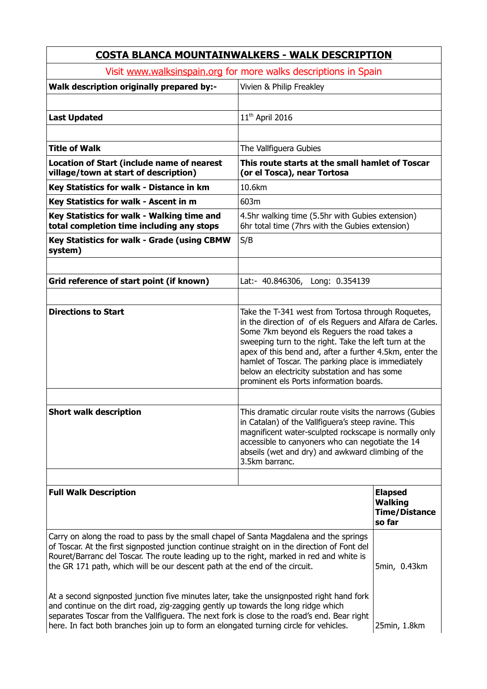| <b>COSTA BLANCA MOUNTAINWALKERS - WALK DESCRIPTION</b>                                                                                                                                                                                                                                                                                                                                                                                                                                                                                                                                                                                                                                                                                      |                                                                                                                                                                                                                                                                                                                                                                                                                                     |                                                                    |  |
|---------------------------------------------------------------------------------------------------------------------------------------------------------------------------------------------------------------------------------------------------------------------------------------------------------------------------------------------------------------------------------------------------------------------------------------------------------------------------------------------------------------------------------------------------------------------------------------------------------------------------------------------------------------------------------------------------------------------------------------------|-------------------------------------------------------------------------------------------------------------------------------------------------------------------------------------------------------------------------------------------------------------------------------------------------------------------------------------------------------------------------------------------------------------------------------------|--------------------------------------------------------------------|--|
| Visit www.walksinspain.org for more walks descriptions in Spain                                                                                                                                                                                                                                                                                                                                                                                                                                                                                                                                                                                                                                                                             |                                                                                                                                                                                                                                                                                                                                                                                                                                     |                                                                    |  |
| Walk description originally prepared by:-                                                                                                                                                                                                                                                                                                                                                                                                                                                                                                                                                                                                                                                                                                   | Vivien & Philip Freakley                                                                                                                                                                                                                                                                                                                                                                                                            |                                                                    |  |
| <b>Last Updated</b>                                                                                                                                                                                                                                                                                                                                                                                                                                                                                                                                                                                                                                                                                                                         | 11 <sup>th</sup> April 2016                                                                                                                                                                                                                                                                                                                                                                                                         |                                                                    |  |
|                                                                                                                                                                                                                                                                                                                                                                                                                                                                                                                                                                                                                                                                                                                                             |                                                                                                                                                                                                                                                                                                                                                                                                                                     |                                                                    |  |
| <b>Title of Walk</b>                                                                                                                                                                                                                                                                                                                                                                                                                                                                                                                                                                                                                                                                                                                        | The Vallfiguera Gubies                                                                                                                                                                                                                                                                                                                                                                                                              |                                                                    |  |
| <b>Location of Start (include name of nearest</b><br>village/town at start of description)                                                                                                                                                                                                                                                                                                                                                                                                                                                                                                                                                                                                                                                  | This route starts at the small hamlet of Toscar<br>(or el Tosca), near Tortosa                                                                                                                                                                                                                                                                                                                                                      |                                                                    |  |
| Key Statistics for walk - Distance in km                                                                                                                                                                                                                                                                                                                                                                                                                                                                                                                                                                                                                                                                                                    | 10.6km                                                                                                                                                                                                                                                                                                                                                                                                                              |                                                                    |  |
| Key Statistics for walk - Ascent in m                                                                                                                                                                                                                                                                                                                                                                                                                                                                                                                                                                                                                                                                                                       | 603m                                                                                                                                                                                                                                                                                                                                                                                                                                |                                                                    |  |
| Key Statistics for walk - Walking time and<br>total completion time including any stops                                                                                                                                                                                                                                                                                                                                                                                                                                                                                                                                                                                                                                                     | 4.5hr walking time (5.5hr with Gubies extension)<br>6hr total time (7hrs with the Gubies extension)                                                                                                                                                                                                                                                                                                                                 |                                                                    |  |
| Key Statistics for walk - Grade (using CBMW<br>system)                                                                                                                                                                                                                                                                                                                                                                                                                                                                                                                                                                                                                                                                                      | S/B                                                                                                                                                                                                                                                                                                                                                                                                                                 |                                                                    |  |
|                                                                                                                                                                                                                                                                                                                                                                                                                                                                                                                                                                                                                                                                                                                                             |                                                                                                                                                                                                                                                                                                                                                                                                                                     |                                                                    |  |
| Grid reference of start point (if known)                                                                                                                                                                                                                                                                                                                                                                                                                                                                                                                                                                                                                                                                                                    | Lat:- 40.846306, Long: 0.354139                                                                                                                                                                                                                                                                                                                                                                                                     |                                                                    |  |
| <b>Directions to Start</b>                                                                                                                                                                                                                                                                                                                                                                                                                                                                                                                                                                                                                                                                                                                  | Take the T-341 west from Tortosa through Roquetes,<br>in the direction of of els Reguers and Alfara de Carles.<br>Some 7km beyond els Reguers the road takes a<br>sweeping turn to the right. Take the left turn at the<br>apex of this bend and, after a further 4.5km, enter the<br>hamlet of Toscar. The parking place is immediately<br>below an electricity substation and has some<br>prominent els Ports information boards. |                                                                    |  |
| <b>Short walk description</b>                                                                                                                                                                                                                                                                                                                                                                                                                                                                                                                                                                                                                                                                                                               | This dramatic circular route visits the narrows (Gubies<br>in Catalan) of the Vallfiguera's steep ravine. This<br>magnificent water-sculpted rockscape is normally only<br>accessible to canyoners who can negotiate the 14<br>abseils (wet and dry) and awkward climbing of the<br>3.5km barranc.                                                                                                                                  |                                                                    |  |
|                                                                                                                                                                                                                                                                                                                                                                                                                                                                                                                                                                                                                                                                                                                                             |                                                                                                                                                                                                                                                                                                                                                                                                                                     |                                                                    |  |
| <b>Full Walk Description</b>                                                                                                                                                                                                                                                                                                                                                                                                                                                                                                                                                                                                                                                                                                                |                                                                                                                                                                                                                                                                                                                                                                                                                                     | <b>Elapsed</b><br><b>Walking</b><br><b>Time/Distance</b><br>so far |  |
| Carry on along the road to pass by the small chapel of Santa Magdalena and the springs<br>of Toscar. At the first signposted junction continue straight on in the direction of Font del<br>Rouret/Barranc del Toscar. The route leading up to the right, marked in red and white is<br>the GR 171 path, which will be our descent path at the end of the circuit.<br>At a second signposted junction five minutes later, take the unsignposted right hand fork<br>and continue on the dirt road, zig-zagging gently up towards the long ridge which<br>separates Toscar from the Vallfiguera. The next fork is close to the road's end. Bear right<br>here. In fact both branches join up to form an elongated turning circle for vehicles. |                                                                                                                                                                                                                                                                                                                                                                                                                                     | 5min, 0.43km<br>25min, 1.8km                                       |  |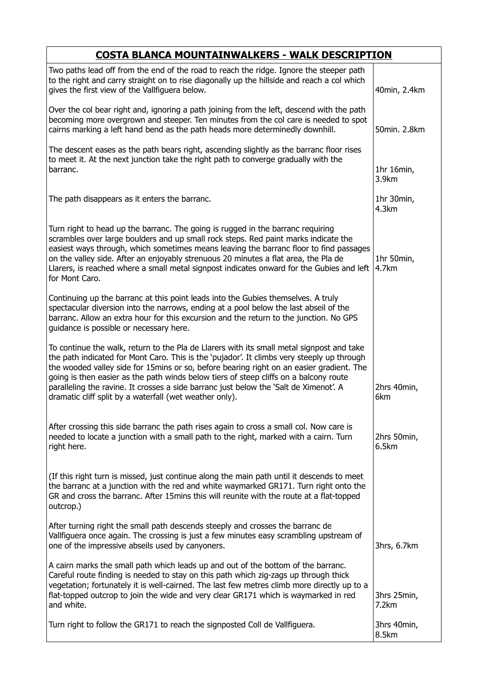| <b>COSTA BLANCA MOUNTAINWALKERS - WALK DESCRIPTION</b>                                                                                                                                                                                                                                                                                                                                                                                                                                                                           |                      |  |
|----------------------------------------------------------------------------------------------------------------------------------------------------------------------------------------------------------------------------------------------------------------------------------------------------------------------------------------------------------------------------------------------------------------------------------------------------------------------------------------------------------------------------------|----------------------|--|
| Two paths lead off from the end of the road to reach the ridge. Ignore the steeper path<br>to the right and carry straight on to rise diagonally up the hillside and reach a col which<br>gives the first view of the Vallfiguera below.                                                                                                                                                                                                                                                                                         | 40min, 2.4km         |  |
| Over the col bear right and, ignoring a path joining from the left, descend with the path<br>becoming more overgrown and steeper. Ten minutes from the col care is needed to spot<br>cairns marking a left hand bend as the path heads more determinedly downhill.                                                                                                                                                                                                                                                               | 50min. 2.8km         |  |
| The descent eases as the path bears right, ascending slightly as the barranc floor rises<br>to meet it. At the next junction take the right path to converge gradually with the<br>barranc.                                                                                                                                                                                                                                                                                                                                      | 1hr 16min,<br>3.9km  |  |
| The path disappears as it enters the barranc.                                                                                                                                                                                                                                                                                                                                                                                                                                                                                    | 1hr 30min,<br>4.3km  |  |
| Turn right to head up the barranc. The going is rugged in the barranc requiring<br>scrambles over large boulders and up small rock steps. Red paint marks indicate the<br>easiest ways through, which sometimes means leaving the barranc floor to find passages<br>on the valley side. After an enjoyably strenuous 20 minutes a flat area, the Pla de<br>Llarers, is reached where a small metal signpost indicates onward for the Gubies and left<br>for Mont Caro.                                                           | 1hr 50min,<br>4.7km  |  |
| Continuing up the barranc at this point leads into the Gubies themselves. A truly<br>spectacular diversion into the narrows, ending at a pool below the last abseil of the<br>barranc. Allow an extra hour for this excursion and the return to the junction. No GPS<br>guidance is possible or necessary here.                                                                                                                                                                                                                  |                      |  |
| To continue the walk, return to the Pla de Llarers with its small metal signpost and take<br>the path indicated for Mont Caro. This is the 'pujador'. It climbs very steeply up through<br>the wooded valley side for 15mins or so, before bearing right on an easier gradient. The<br>going is then easier as the path winds below tiers of steep cliffs on a balcony route<br>paralleling the ravine. It crosses a side barranc just below the 'Salt de Ximenot'. A<br>dramatic cliff split by a waterfall (wet weather only). | 2hrs 40min,<br>6km   |  |
| After crossing this side barranc the path rises again to cross a small col. Now care is<br>needed to locate a junction with a small path to the right, marked with a cairn. Turn<br>right here.                                                                                                                                                                                                                                                                                                                                  | 2hrs 50min,<br>6.5km |  |
| (If this right turn is missed, just continue along the main path until it descends to meet<br>the barranc at a junction with the red and white waymarked GR171. Turn right onto the<br>GR and cross the barranc. After 15mins this will reunite with the route at a flat-topped<br>outcrop.)                                                                                                                                                                                                                                     |                      |  |
| After turning right the small path descends steeply and crosses the barranc de<br>Vallfiguera once again. The crossing is just a few minutes easy scrambling upstream of<br>one of the impressive abseils used by canyoners.                                                                                                                                                                                                                                                                                                     | 3hrs, 6.7km          |  |
| A cairn marks the small path which leads up and out of the bottom of the barranc.<br>Careful route finding is needed to stay on this path which zig-zags up through thick<br>vegetation; fortunately it is well-cairned. The last few metres climb more directly up to a<br>flat-topped outcrop to join the wide and very clear GR171 which is waymarked in red<br>and white.                                                                                                                                                    | 3hrs 25min,<br>7.2km |  |
| Turn right to follow the GR171 to reach the signposted Coll de Vallfiguera.                                                                                                                                                                                                                                                                                                                                                                                                                                                      | 3hrs 40min,<br>8.5km |  |